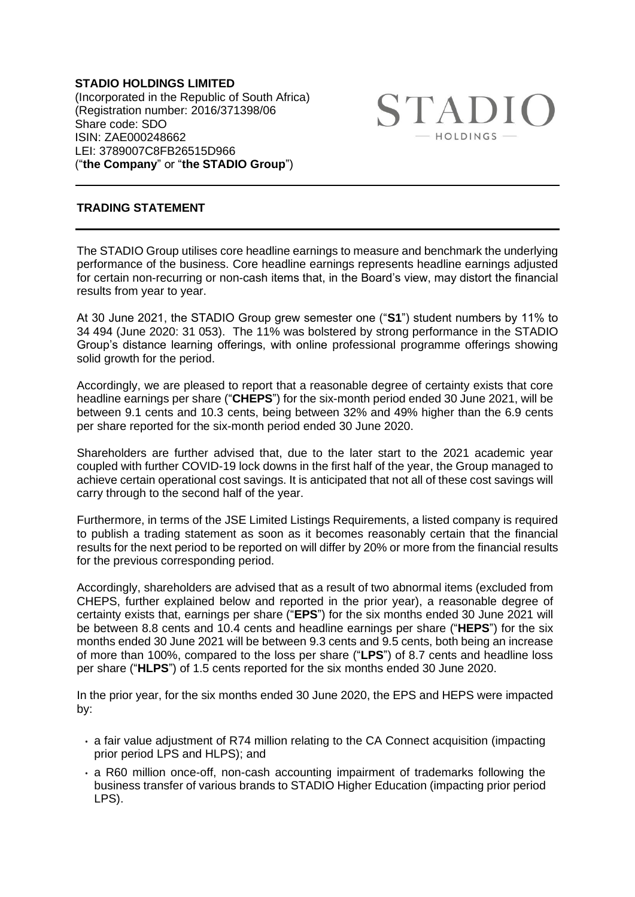**STADIO HOLDINGS LIMITED** (Incorporated in the Republic of South Africa) (Registration number: 2016/371398/06 Share code: SDO ISIN: ZAE000248662 LEI: 3789007C8FB26515D966 ("**the Company**" or "**the STADIO Group**")

**STADIO** HOLDINGS -

## **TRADING STATEMENT**

The STADIO Group utilises core headline earnings to measure and benchmark the underlying performance of the business. Core headline earnings represents headline earnings adjusted for certain non-recurring or non-cash items that, in the Board's view, may distort the financial results from year to year.

At 30 June 2021, the STADIO Group grew semester one ("**S1**") student numbers by 11% to 34 494 (June 2020: 31 053). The 11% was bolstered by strong performance in the STADIO Group's distance learning offerings, with online professional programme offerings showing solid growth for the period.

Accordingly, we are pleased to report that a reasonable degree of certainty exists that core headline earnings per share ("**CHEPS**") for the six-month period ended 30 June 2021, will be between 9.1 cents and 10.3 cents, being between 32% and 49% higher than the 6.9 cents per share reported for the six-month period ended 30 June 2020.

Shareholders are further advised that, due to the later start to the 2021 academic year coupled with further COVID-19 lock downs in the first half of the year, the Group managed to achieve certain operational cost savings. It is anticipated that not all of these cost savings will carry through to the second half of the year.

Furthermore, in terms of the JSE Limited Listings Requirements, a listed company is required to publish a trading statement as soon as it becomes reasonably certain that the financial results for the next period to be reported on will differ by 20% or more from the financial results for the previous corresponding period.

Accordingly, shareholders are advised that as a result of two abnormal items (excluded from CHEPS, further explained below and reported in the prior year), a reasonable degree of certainty exists that, earnings per share ("**EPS**") for the six months ended 30 June 2021 will be between 8.8 cents and 10.4 cents and headline earnings per share ("**HEPS**") for the six months ended 30 June 2021 will be between 9.3 cents and 9.5 cents, both being an increase of more than 100%, compared to the loss per share ("**LPS**") of 8.7 cents and headline loss per share ("**HLPS**") of 1.5 cents reported for the six months ended 30 June 2020.

In the prior year, for the six months ended 30 June 2020, the EPS and HEPS were impacted by:

- a fair value adjustment of R74 million relating to the CA Connect acquisition (impacting prior period LPS and HLPS); and
- a R60 million once-off, non-cash accounting impairment of trademarks following the business transfer of various brands to STADIO Higher Education (impacting prior period LPS).